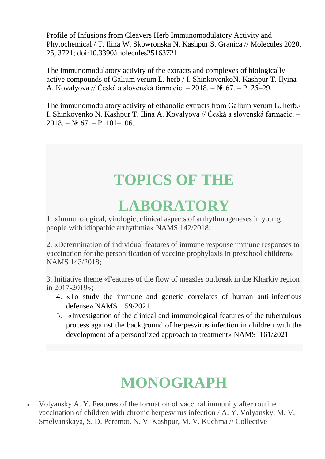Profile of Infusions from Cleavers Herb Immunomodulatory Activity and Phytochemical / T. Ilina W. Skowronska N. Kashpur S. Granica // Molecules 2020, 25, 3721; doi:10.3390/molecules25163721

The immunomodulatory activity of the extracts and complexes of biologically active compounds of Galium verum L. herb / I. ShinkovenkoN. Kashpur T. Ilyina A. Kovalyova // Česká a slovenská farmacie. – 2018. – № 67. – Р. 25–29.

The immunomodulatory activity of ethanolic extracts from Galium verum L. herb./ I. Shinkovenko N. Kashpur T. Ilina A. Kovalyova // Česká a slovenská farmacie. –  $2018 - No 67 - P$ . 101–106

# **TOPICS OF THE**

## **LABORATORY**

1. «Immunological, virologic, clinical aspects of arrhythmogeneses in young people with idiopathic arrhythmia» NAMS 142/2018;

2. «Determination of individual features of immune response immune responses to vaccination for the personification of vaccine prophylaxis in preschool children» NAMS 143/2018;

3. Initiative theme «Features of the flow of measles outbreak in the Kharkiv region in 2017-2019»;

- 4. «To study the immune and genetic correlates of human anti-infectious defense» NAMS 159/2021
- 5. «Investigation of the clinical and immunological features of the tuberculous process against the background of herpesvirus infection in children with the development of a personalized approach to treatment» NAMS 161/2021

# **MONOGRAPH**

 Volyansky A. Y. Features of the formation of vaccinal immunity after routine vaccination of children with chronic herpesvirus infection / A. Y. Volyansky, M. V. Smelyanskaya, S. D. Peremot, N. V. Kashpur, M. V. Kuchma // Collective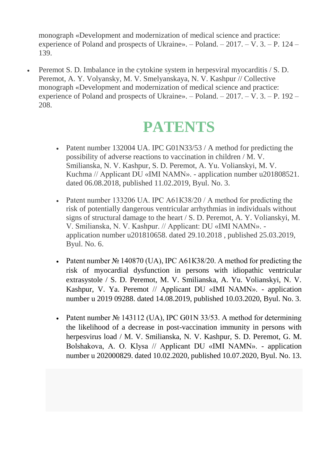monograph «Development and modernization of medical science and practice: experience of Poland and prospects of Ukraine». – Poland. – 2017. – V. 3. – P. 124 – 139.

 Peremot S. D. Imbalance in the cytokine system in herpesviral myocarditis / S. D. Peremot, A. Y. Volyansky, M. V. Smelyanskaya, N. V. Kashpur // Collective monograph «Development and modernization of medical science and practice: experience of Poland and prospects of Ukraine». – Poland. – 2017. – V. 3. – P. 192 – 208.

### **PATENTS**

- Patent number 132004 UA. IPC G01N33/53 / A method for predicting the possibility of adverse reactions to vaccination in children / M. V. Smilianska, N. V. Kashpur, S. D. Peremot, A. Yu. Volianskyi, M. V. Kuchma // Applicant DU «ІМІ NAMN». - application number u201808521. dated 06.08.2018, published 11.02.2019, Byul. No. 3.
- Patent number 133206 UA. IPC A61K38/20 / A method for predicting the risk of potentially dangerous ventricular arrhythmias in individuals without signs of structural damage to the heart / S. D. Peremot, A. Y. Volianskyi, M. V. Smilianska, N. V. Kashpur. // Applicant: DU «ІМІ NAMN». application number u201810658. dated 29.10.2018 , published 25.03.2019, Byul. No. 6.
- Patent number  $\mathcal{N}_2$  140870 (UA), IPC A61K38/20. A method for predicting the risk of myocardial dysfunction in persons with idiopathic ventricular extrasystole / S. D. Peremot, M. V. Smilianska, A. Yu. Volianskyi, N. V. Kashpur, V. Ya. Peremot // Applicant DU «ІМІ NAMN». - application number u 2019 09288. dated 14.08.2019, published 10.03.2020, Byul. No. 3.
- Patent number  $\mathbb{N}^{\circ}$  143112 (UA), IPC G01N 33/53. A method for determining the likelihood of a decrease in post-vaccination immunity in persons with herpesvirus load / M. V. Smilianska, N. V. Kashpur, S. D. Peremot, G. M. Bolshakova, A. O. Klysa // Applicant DU «ІМІ NAMN». - application number u 202000829. dated 10.02.2020, published 10.07.2020, Byul. No. 13.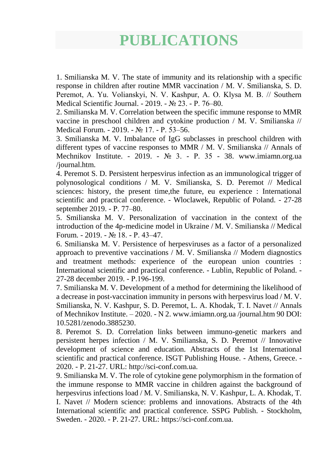### **PUBLICATIONS**

1. Smilianska M. V. The state of immunity and its relationship with a specific response in children after routine MMR vaccination / M. V. Smilianska, S. D. Peremot, A. Yu. Volianskyi, N. V. Kashpur, A. O. Klysa М. В. // Southern Medical Scientific Journal. - 2019. - № 23. - Р. 76–80.

2. Smilianska M. V. Correlation between the specific immune response to MMR vaccine in preschool children and cytokine production / M. V. Smilianska // Medical Forum. - 2019. - № 17. - Р. 53–56.

3. Smilianska M. V. Imbalance of IgG subclasses in preschool children with different types of vaccine responses to MMR / M. V. Smilianska // Annals of Mechnikov Institute. - 2019. - № 3. - Р. 35 - 38. www.imiamn.org.ua /journal.htm.

4. Peremot S. D. Persistent herpesvirus infection as an immunological trigger of polynosological conditions / M. V. Smilianska, S. D. Peremot // Medical sciences: history, the present time,the future, eu experience : International scientific and practical conference. - Wloclawek, Republic of Poland. - 27-28 september 2019. - Р. 77–80.

5. Smilianska M. V. Personalization of vaccination in the context of the introduction of the 4p-medicine model in Ukraine / M. V. Smilianska // Medical Forum. - 2019. - № 18. - Р. 43–47.

6. Smilianska M. V. Persistence of herpesviruses as a factor of a personalized approach to preventive vaccinations / M. V. Smilianska // Modern diagnostics and treatment methods: experience of the european union countries : International scientific and practical conference. - Lublin, Republic of Poland. - 27-28 december 2019. - Р.196-199.

7. Smilianska M. V. Development of a method for determining the likelihood of a decrease in post-vaccination immunity in persons with herpesvirus load / M. V. Smilianska, N. V. Kashpur, S. D. Peremot, L. A. Khodak, T. I. Navet // Annals of Mechnikov Institute. – 2020. - N 2. www.imiamn.org.ua /journal.htm 90 DOI: 10.5281/zenodo.3885230.

8. Peremot S. D. Correlation links between immuno-genetic markers and persistent herpes infection / M. V. Smilianska, S. D. Peremot // Innovative development of science and education. Abstracts of the 1st International scientific and practical conference. ISGT Publishing House. - Athens, Greece. - 2020. - P. 21-27. URL: http://sci-conf.com.ua.

9. Smilianska M. V. The role of cytokine gene polymorphism in the formation of the immune response to MMR vaccine in children against the background of herpesvirus infections load / M. V. Smilianska, N. V. Kashpur, L. A. Khodak, T. I. Navet // Modern science: problems and innovations. Abstracts of the 4th International scientific and practical conference. SSPG Publish. - Stockholm, Sweden. - 2020. - P. 21-27. URL: https://sci-conf.com.ua.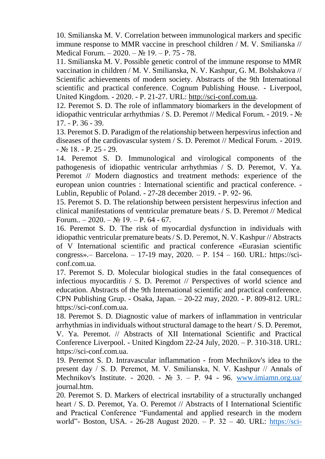10. Smilianska M. V. Correlation between immunological markers and specific immune response to MMR vaccine in preschool children / M. V. Smilianska // Medical Forum. – 2020. – № 19. – P. 75 - 78.

11. Smilianska M. V. Possible genetic control of the immune response to MMR vaccination in children / M. V. Smilianska, N. V. Kashpur, G. M. Bolshakova // Scientific achievements of modern society. Abstracts of the 9th International scientific and practical conference. Cognum Publishing House. - Liverpool, United Kingdom. - 2020. - P. 21-27. URL: [http://sci-conf.com.ua.](http://sci-conf.com.ua/)

12. Peremot S. D. The role of inflammatory biomarkers in the development of idiopathic ventricular arrhythmias / S. D. Peremot // Medical Forum. - 2019. - № 17. - P. 36 - 39.

13. Peremot S. D. Paradigm of the relationship between herpesvirus infection and diseases of the cardiovascular system / S. D. Peremot // Medical Forum. - 2019.  $-$  No 18. - P. 25 - 29.

14. Peremot S. D. Immunological and virological components of the pathogenesis of idiopathic ventricular arrhythmias / S. D. Peremot, V. Ya. Peremot // Modern diagnostics and treatment methods: experience of the european union countries : International scientific and practical conference. - Lublin, Republic of Poland. - 27-28 december 2019. - Р. 92- 96.

15. Peremot S. D. The relationship between persistent herpesvirus infection and clinical manifestations of ventricular premature beats / S. D. Peremot // Medical Forum..  $-2020. - N_2$  19.  $- P. 64 - 67.$ 

16. Peremot S. D. The risk of myocardial dysfunction in individuals with idiopathic ventricular premature beats / S. D. Peremot, N. V. Kashpur // Abstracts of V International scientific and practical conference «Eurasian scientific congress».– Barcelona. – 17-19 may, 2020. – Р. 154 – 160. URL: https://sciconf.com.ua.

17. Peremot S. D. Molecular biological studies in the fatal consequences of infectious myocarditis / S. D. Peremot // Perspectives of world science and education. Abstracts of the 9th International scientific and practical conference. CPN Publishing Grup. - Osaka, Japan. – 20-22 may, 2020. - P. 809-812. URL: https://sci-conf.com.ua.

18. Peremot S. D. Diagnostic value of markers of inflammation in ventricular arrhythmias in individuals without structural damage to the heart / S. D. Peremot, V. Ya. Peremot. // Abstracts of XII International Scientific and Practical Conference Liverpool. - United Kingdom 22-24 July, 2020. – Р. 310-318. URL: https://sci-conf.com.ua.

19. Peremot S. D. Intravascular inflammation - from Mechnikov's idea to the present day / S. D. Peremot, М. V. Smilianska, N. V. Kashpur // Annals of Mechnikov's Institute. - 2020. -  $\mathbb{N}$  3. – P. 94 - 96. [www.imiamn.org.ua/](http://www.imiamn.org.ua/) journal.htm.

20. Peremot S. D. Markers of electrical insrtability of a structurally unchanged heart / S. D. Peremot, Ya. O. Peremot // Abstracts of I International Scientific and Practical Conference "Fundamental and applied research in the modern world"- Boston, USA. - 26-28 August 2020. – P. 32 – 40. URL: [https://sci-](https://sci-conf.com.ua/)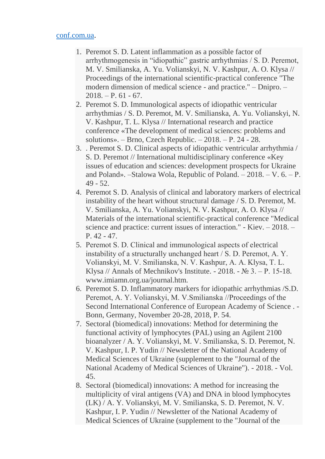#### [conf.com.ua.](https://sci-conf.com.ua/)

- 1. Peremot S. D. Latent inflammation as a possible factor of arrhythmogenesis in "idiopathic" gastric arrhythmias / S. D. Peremot, M. V. Smilianska, A. Yu. Volianskyi, N. V. Kashpur, A. O. Klysa // Proceedings of the international scientific-practical conference "The modern dimension of medical science - and practice." – Dnipro. –  $2018. - P. 61 - 67.$
- 2. Peremot S. D. Immunological aspects of idiopathic ventricular arrhythmias / S. D. Peremot, M. V. Smilianska, A. Yu. Volianskyi, N. V. Kashpur, T. L. Klysa // International research and practice conference «The development of medical sciences: problems and solutions». – Brno, Czech Republic. – 2018. – Р. 24 - 28.
- 3. . Peremot S. D. Clinical aspects of idiopathic ventricular arrhythmia / S. D. Peremot // International multidisciplinary conference «Key issues of education and sciences: development prospects for Ukraine and Poland». –Stalowa Wola, Republic of Poland. – 2018. – V. 6. – Р. 49 - 52.
- 4. Peremot S. D. Analysis of clinical and laboratory markers of electrical instability of the heart without structural damage / S. D. Peremot, M. V. Smilianska, A. Yu. Volianskyi, N. V. Kashpur, A. O. Klysa // Materials of the international scientific-practical conference "Medical science and practice: current issues of interaction." - Kiev. – 2018. – P. 42 - 47.
- 5. Peremot S. D. Сlinical and immunological aspects of electrical instability of a structurally unchanged heart / S. D. Peremot, А. Y. Volianskyi, М. V. Smilianska, N. V. Kashpur, A. A. Klysa, T. L. Klysa // Annals of Mechnikov's Institute. - 2018. -  $\mathcal{N}$  3. – P. 15-18. www.imiamn.org.ua/journal.htm.
- 6. Peremot S. D. Inflammatory markers for idiopathic arrhythmias /S.D. Peremot, А. Y. Volianskyi, М. V.Smilianska //Proceedings of the Second International Conference of European Academy of Science . - Bonn, Germany, November 20-28, 2018, P. 54.
- 7. Sectoral (biomedical) innovations: Method for determining the functional activity of lymphocytes (PAL) using an Agilent 2100 bioanalyzer / A. Y. Volianskyi, M. V. Smilianska, S. D. Peremot, N. V. Kashpur, I. P. Yudin // Newsletter of the National Academy of Medical Sciences of Ukraine (supplement to the "Journal of the National Academy of Medical Sciences of Ukraine"). - 2018. - Vol. 45.
- 8. Sectoral (biomedical) innovations: A method for increasing the multiplicity of viral antigens (VA) and DNA in blood lymphocytes (LK) / A. Y. Volianskyi, M. V. Smilianska, S. D. Peremot, N. V. Kashpur, I. P. Yudin // Newsletter of the National Academy of Medical Sciences of Ukraine (supplement to the "Journal of the